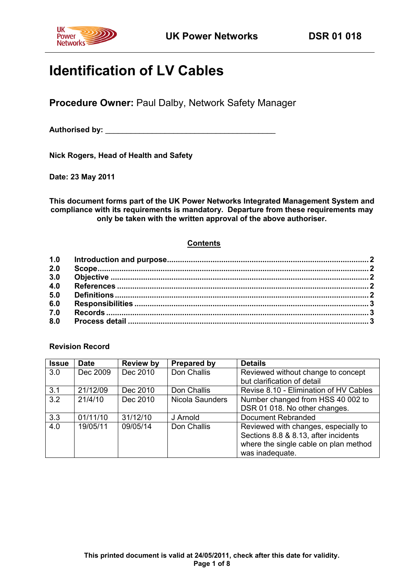

# **Identification of LV Cables**

**Procedure Owner:** Paul Dalby, Network Safety Manager

Authorised by: **Authorised by: Authorised by: Authorised by: Authorised by: Authorised by: Authorised by: Authorised by: Authorised by: Authorised by: Authorised by: Authorised by: Authorised by: Au** 

**Nick Rogers, Head of Health and Safety**

**Date: 23 May 2011**

**This document forms part of the UK Power Networks Integrated Management System and compliance with its requirements is mandatory. Departure from these requirements may only be taken with the written approval of the above authoriser.**

# **Contents**

| 2.0 |  |
|-----|--|
| 3.0 |  |
| 4.0 |  |
| 5.0 |  |
| 6.0 |  |
| 7.0 |  |
| 8.0 |  |

# **Revision Record**

<span id="page-0-0"></span>

| <b>Issue</b> | <b>Date</b> | <b>Review by</b> | <b>Prepared by</b> | <b>Details</b>                         |
|--------------|-------------|------------------|--------------------|----------------------------------------|
| 3.0          | Dec 2009    | Dec 2010         | Don Challis        | Reviewed without change to concept     |
|              |             |                  |                    | but clarification of detail            |
| 3.1          | 21/12/09    | Dec 2010         | Don Challis        | Revise 8.10 - Elimination of HV Cables |
| 3.2          | 21/4/10     | Dec 2010         | Nicola Saunders    | Number changed from HSS 40 002 to      |
|              |             |                  |                    | DSR 01 018. No other changes.          |
| 3.3          | 01/11/10    | 31/12/10         | J Arnold           | Document Rebranded                     |
| 4.0          | 19/05/11    | 09/05/14         | Don Challis        | Reviewed with changes, especially to   |
|              |             |                  |                    | Sections 8.8 & 8.13, after incidents   |
|              |             |                  |                    | where the single cable on plan method  |
|              |             |                  |                    | was inadequate.                        |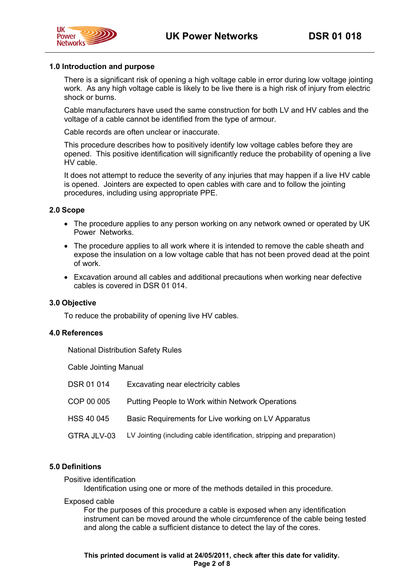



#### **1.0 Introduction and purpose**

There is a significant risk of opening a high voltage cable in error during low voltage jointing work. As any high voltage cable is likely to be live there is a high risk of injury from electric shock or burns.

Cable manufacturers have used the same construction for both LV and HV cables and the voltage of a cable cannot be identified from the type of armour.

Cable records are often unclear or inaccurate.

This procedure describes how to positively identify low voltage cables before they are opened. This positive identification will significantly reduce the probability of opening a live HV cable.

It does not attempt to reduce the severity of any injuries that may happen if a live HV cable is opened. Jointers are expected to open cables with care and to follow the jointing procedures, including using appropriate PPE.

#### <span id="page-1-0"></span>**2.0 Scope**

- The procedure applies to any person working on any network owned or operated by UK Power Networks.
- The procedure applies to all work where it is intended to remove the cable sheath and expose the insulation on a low voltage cable that has not been proved dead at the point of work.
- Excavation around all cables and additional precautions when working near defective cables is covered in DSR 01 014.

#### <span id="page-1-1"></span>**3.0 Objective**

To reduce the probability of opening live HV cables.

#### <span id="page-1-2"></span>**4.0 References**

National Distribution Safety Rules

Cable Jointing Manual

| DSR 01 014  | Excavating near electricity cables                                      |
|-------------|-------------------------------------------------------------------------|
| COP 00 005  | Putting People to Work within Network Operations                        |
| HSS 40 045  | Basic Requirements for Live working on LV Apparatus                     |
| GTRA JLV-03 | LV Jointing (including cable identification, stripping and preparation) |

#### <span id="page-1-3"></span>**5.0 Definitions**

Positive identification

Identification using one or more of the methods detailed in this procedure.

#### Exposed cable

For the purposes of this procedure a cable is exposed when any identification instrument can be moved around the whole circumference of the cable being tested and along the cable a sufficient distance to detect the lay of the cores.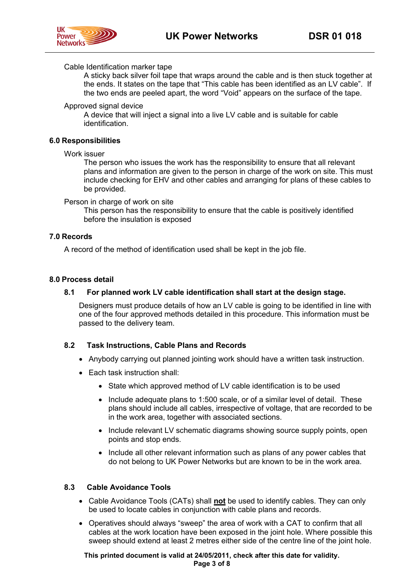#### Cable Identification marker tape

A sticky back silver foil tape that wraps around the cable and is then stuck together at the ends. It states on the tape that "This cable has been identified as an LV cable". If the two ends are peeled apart, the word "Void" appears on the surface of the tape.

#### Approved signal device

A device that will inject a signal into a live LV cable and is suitable for cable identification.

#### <span id="page-2-0"></span>**6.0 Responsibilities**

#### Work issuer

The person who issues the work has the responsibility to ensure that all relevant plans and information are given to the person in charge of the work on site. This must include checking for EHV and other cables and arranging for plans of these cables to be provided.

Person in charge of work on site

This person has the responsibility to ensure that the cable is positively identified before the insulation is exposed

#### <span id="page-2-1"></span>**7.0 Records**

A record of the method of identification used shall be kept in the job file.

#### <span id="page-2-2"></span>**8.0 Process detail**

#### **8.1 For planned work LV cable identification shall start at the design stage.**

Designers must produce details of how an LV cable is going to be identified in line with one of the four approved methods detailed in this procedure. This information must be passed to the delivery team.

#### **8.2 Task Instructions, Cable Plans and Records**

- Anybody carrying out planned jointing work should have a written task instruction.
- Each task instruction shall:
	- State which approved method of LV cable identification is to be used
	- Include adequate plans to 1:500 scale, or of a similar level of detail. These plans should include all cables, irrespective of voltage, that are recorded to be in the work area, together with associated sections.
	- Include relevant LV schematic diagrams showing source supply points, open points and stop ends.
	- Include all other relevant information such as plans of any power cables that do not belong to UK Power Networks but are known to be in the work area.

### **8.3 Cable Avoidance Tools**

- Cable Avoidance Tools (CATs) shall **not** be used to identify cables. They can only be used to locate cables in conjunction with cable plans and records.
- Operatives should always "sweep" the area of work with a CAT to confirm that all cables at the work location have been exposed in the joint hole. Where possible this sweep should extend at least 2 metres either side of the centre line of the joint hole.

**This printed document is valid at 24/05/2011, check after this date for validity. Page 3 of 8**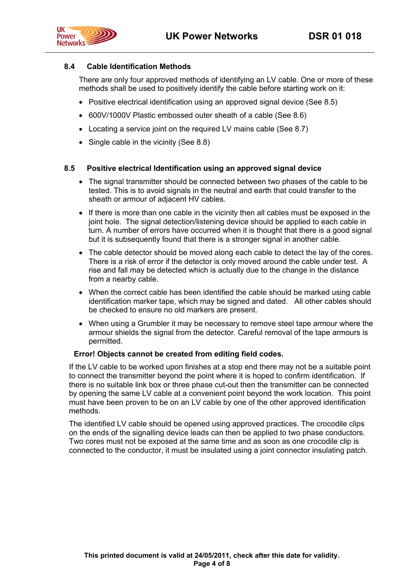

### **8.4 Cable Identification Methods**

There are only four approved methods of identifying an LV cable. One or more of these methods shall be used to positively identify the cable before starting work on it:

- Positive electrical identification using an approved signal device (See 8.5)
- 600V/1000V Plastic embossed outer sheath of a cable (See 8.6)
- Locating a service joint on the required LV mains cable (See 8.7)
- Single cable in the vicinity (See 8.8)

#### **8.5 Positive electrical Identification using an approved signal device**

- The signal transmitter should be connected between two phases of the cable to be tested. This is to avoid signals in the neutral and earth that could transfer to the sheath or armour of adjacent HV cables.
- If there is more than one cable in the vicinity then all cables must be exposed in the joint hole. The signal detection/listening device should be applied to each cable in turn. A number of errors have occurred when it is thought that there is a good signal but it is subsequently found that there is a stronger signal in another cable.
- The cable detector should be moved along each cable to detect the lay of the cores. There is a risk of error if the detector is only moved around the cable under test. A rise and fall may be detected which is actually due to the change in the distance from a nearby cable.
- When the correct cable has been identified the cable should be marked using cable identification marker tape, which may be signed and dated. All other cables should be checked to ensure no old markers are present.
- When using a Grumbler it may be necessary to remove steel tape armour where the armour shields the signal from the detector. Careful removal of the tape armours is permitted.

### **Error! Objects cannot be created from editing field codes.**

If the LV cable to be worked upon finishes at a stop end there may not be a suitable point to connect the transmitter beyond the point where it is hoped to confirm identification. If there is no suitable link box or three phase cut-out then the transmitter can be connected by opening the same LV cable at a convenient point beyond the work location. This point must have been proven to be on an LV cable by one of the other approved identification methods.

The identified LV cable should be opened using approved practices. The crocodile clips on the ends of the signalling device leads can then be applied to two phase conductors. Two cores must not be exposed at the same time and as soon as one crocodile clip is connected to the conductor, it must be insulated using a joint connector insulating patch.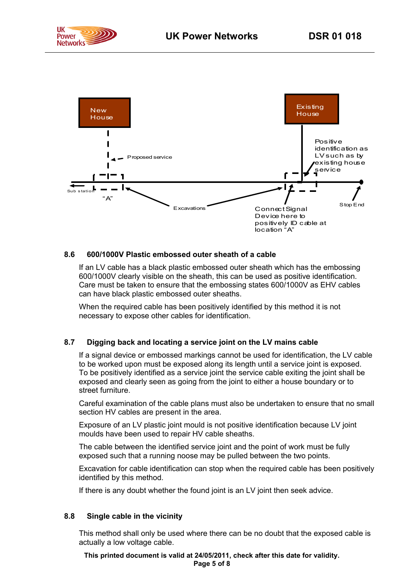



# **8.6 600/1000V Plastic embossed outer sheath of a cable**

If an LV cable has a black plastic embossed outer sheath which has the embossing 600/1000V clearly visible on the sheath, this can be used as positive identification. Care must be taken to ensure that the embossing states 600/1000V as EHV cables can have black plastic embossed outer sheaths.

When the required cable has been positively identified by this method it is not necessary to expose other cables for identification.

#### **8.7 Digging back and locating a service joint on the LV mains cable**

If a signal device or embossed markings cannot be used for identification, the LV cable to be worked upon must be exposed along its length until a service joint is exposed. To be positively identified as a service joint the service cable exiting the joint shall be exposed and clearly seen as going from the joint to either a house boundary or to street furniture.

Careful examination of the cable plans must also be undertaken to ensure that no small section HV cables are present in the area.

Exposure of an LV plastic joint mould is not positive identification because LV joint moulds have been used to repair HV cable sheaths.

The cable between the identified service joint and the point of work must be fully exposed such that a running noose may be pulled between the two points.

Excavation for cable identification can stop when the required cable has been positively identified by this method.

If there is any doubt whether the found joint is an LV joint then seek advice.

#### **8.8 Single cable in the vicinity**

This method shall only be used where there can be no doubt that the exposed cable is actually a low voltage cable.

**This printed document is valid at 24/05/2011, check after this date for validity.**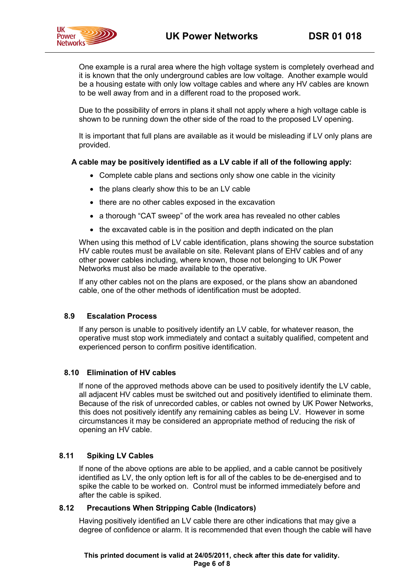

One example is a rural area where the high voltage system is completely overhead and it is known that the only underground cables are low voltage. Another example would be a housing estate with only low voltage cables and where any HV cables are known to be well away from and in a different road to the proposed work.

Due to the possibility of errors in plans it shall not apply where a high voltage cable is shown to be running down the other side of the road to the proposed LV opening.

It is important that full plans are available as it would be misleading if LV only plans are provided.

#### **A cable may be positively identified as a LV cable if all of the following apply:**

- Complete cable plans and sections only show one cable in the vicinity
- the plans clearly show this to be an LV cable
- there are no other cables exposed in the excavation
- a thorough "CAT sweep" of the work area has revealed no other cables
- the excavated cable is in the position and depth indicated on the plan

When using this method of LV cable identification, plans showing the source substation HV cable routes must be available on site. Relevant plans of EHV cables and of any other power cables including, where known, those not belonging to UK Power Networks must also be made available to the operative.

If any other cables not on the plans are exposed, or the plans show an abandoned cable, one of the other methods of identification must be adopted.

#### **8.9 Escalation Process**

If any person is unable to positively identify an LV cable, for whatever reason, the operative must stop work immediately and contact a suitably qualified, competent and experienced person to confirm positive identification.

#### **8.10 Elimination of HV cables**

If none of the approved methods above can be used to positively identify the LV cable, all adjacent HV cables must be switched out and positively identified to eliminate them. Because of the risk of unrecorded cables, or cables not owned by UK Power Networks, this does not positively identify any remaining cables as being LV. However in some circumstances it may be considered an appropriate method of reducing the risk of opening an HV cable.

# **8.11 Spiking LV Cables**

If none of the above options are able to be applied, and a cable cannot be positively identified as LV, the only option left is for all of the cables to be de-energised and to spike the cable to be worked on. Control must be informed immediately before and after the cable is spiked.

#### **8.12 Precautions When Stripping Cable (Indicators)**

Having positively identified an LV cable there are other indications that may give a degree of confidence or alarm. It is recommended that even though the cable will have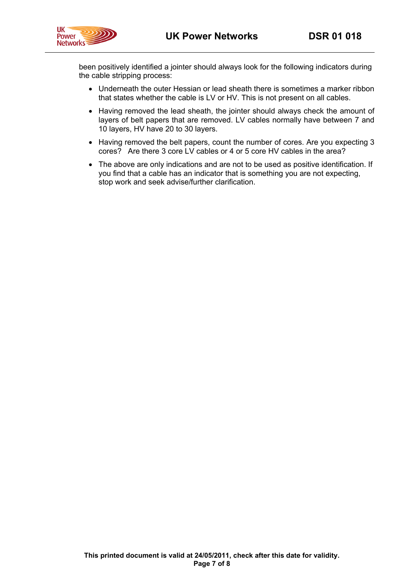

been positively identified a jointer should always look for the following indicators during the cable stripping process:

- Underneath the outer Hessian or lead sheath there is sometimes a marker ribbon that states whether the cable is LV or HV. This is not present on all cables.
- Having removed the lead sheath, the jointer should always check the amount of layers of belt papers that are removed. LV cables normally have between 7 and 10 layers, HV have 20 to 30 layers.
- Having removed the belt papers, count the number of cores. Are you expecting 3 cores? Are there 3 core LV cables or 4 or 5 core HV cables in the area?
- The above are only indications and are not to be used as positive identification. If you find that a cable has an indicator that is something you are not expecting, stop work and seek advise/further clarification.